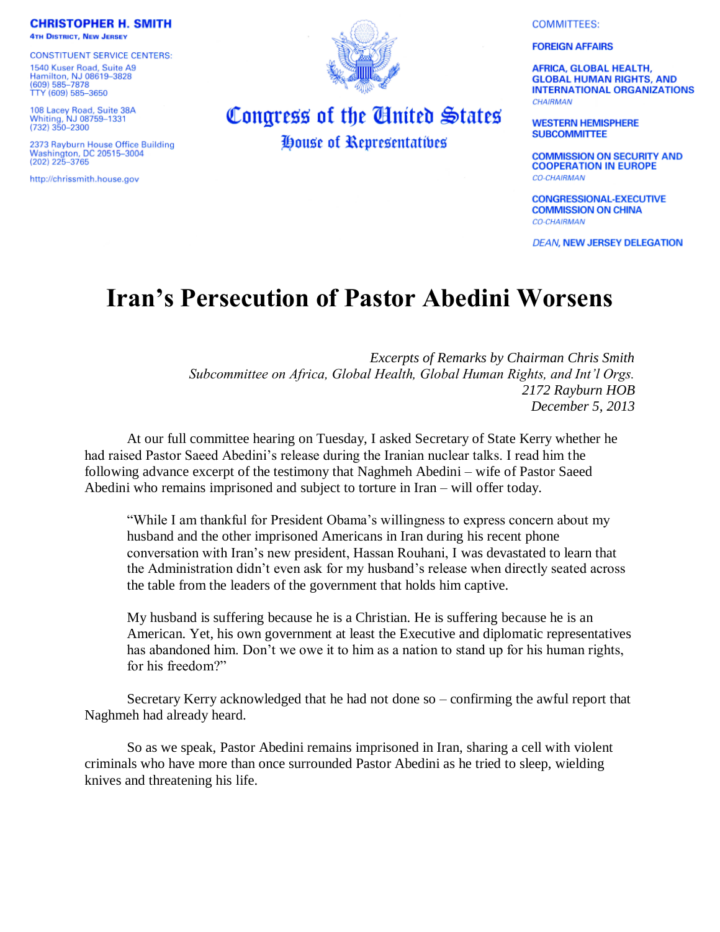**COMMITTEES:** 

**FOREIGN AFFAIRS** 

**AFRICA, GLOBAL HEALTH, GLOBAL HUMAN RIGHTS, AND INTERNATIONAL ORGANIZATIONS CHAIRMAN** 

**WESTERN HEMISPHERE SUBCOMMITTEE** 

**COMMISSION ON SECURITY AND COOPERATION IN EUROPE CO-CHAIRMAN** 

**CONGRESSIONAL-EXECUTIVE COMMISSION ON CHINA CO-CHAIRMAN** 

**DEAN, NEW JERSEY DELEGATION** 

## **Iran's Persecution of Pastor Abedini Worsens**

*Excerpts of Remarks by Chairman Chris Smith Subcommittee on Africa, Global Health, Global Human Rights, and Int'l Orgs. 2172 Rayburn HOB December 5, 2013*

At our full committee hearing on Tuesday, I asked Secretary of State Kerry whether he had raised Pastor Saeed Abedini's release during the Iranian nuclear talks. I read him the following advance excerpt of the testimony that Naghmeh Abedini – wife of Pastor Saeed Abedini who remains imprisoned and subject to torture in Iran – will offer today.

"While I am thankful for President Obama's willingness to express concern about my husband and the other imprisoned Americans in Iran during his recent phone conversation with Iran's new president, Hassan Rouhani, I was devastated to learn that the Administration didn't even ask for my husband's release when directly seated across the table from the leaders of the government that holds him captive.

My husband is suffering because he is a Christian. He is suffering because he is an American. Yet, his own government at least the Executive and diplomatic representatives has abandoned him. Don't we owe it to him as a nation to stand up for his human rights, for his freedom?"

Secretary Kerry acknowledged that he had not done so – confirming the awful report that Naghmeh had already heard.

So as we speak, Pastor Abedini remains imprisoned in Iran, sharing a cell with violent criminals who have more than once surrounded Pastor Abedini as he tried to sleep, wielding knives and threatening his life.



Congress of the United States

House of Representatives

2373 Rayburn House Office Building **Washington, DC 20515-3004**  $(202)$  225-3765

http://chrissmith.house.gov

**CONSTITUENT SERVICE CENTERS:** 1540 Kuser Road, Suite A9 Hamilton, NJ 08619-3828<br>(609) 585-7878 TTY (609) 585-3650

108 Lacey Road, Suite 38A<br>Whiting, NJ 08759-1331<br>(732) 350-2300